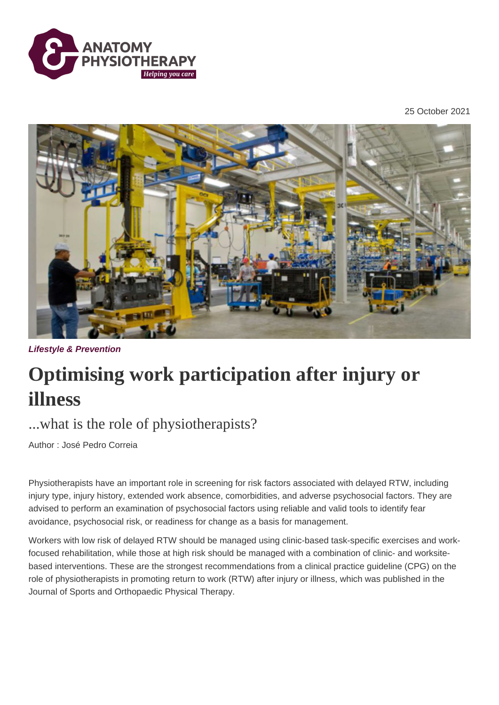

25 October 2021



**Lifestyle & Prevention**

## **Optimising work participation after injury or illness**

## ...what is the role of physiotherapists?

Author : José Pedro Correia

Physiotherapists have an important role in screening for risk factors associated with delayed RTW, including injury type, injury history, extended work absence, comorbidities, and adverse psychosocial factors. They are advised to perform an examination of psychosocial factors using reliable and valid tools to identify fear avoidance, psychosocial risk, or readiness for change as a basis for management.

Workers with low risk of delayed RTW should be managed using clinic-based task-specific exercises and workfocused rehabilitation, while those at high risk should be managed with a combination of clinic- and worksitebased interventions. These are the strongest recommendations from a clinical practice guideline (CPG) on the role of physiotherapists in promoting return to work (RTW) after injury or illness, which was published in the Journal of Sports and Orthopaedic Physical Therapy.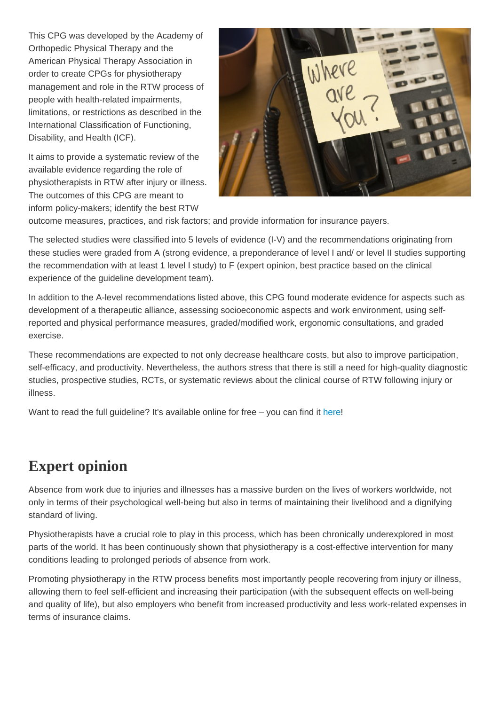This CPG was developed by the Academy of Orthopedic Physical Therapy and the American Physical Therapy Association in order to create CPGs for physiotherapy management and role in the RTW process of people with health-related impairments, limitations, or restrictions as described in the International Classification of Functioning, Disability, and Health (ICF).

It aims to provide a systematic review of the available evidence regarding the role of physiotherapists in RTW after injury or illness. The outcomes of this CPG are meant to inform policy-makers; identify the best RTW outcome measures, practices, and risk factors; and provide information for insurance payers.

The selected studies were classified into 5 levels of evidence (I-V) and the recommendations originating from these studies were graded from A (strong evidence, a preponderance of level I and/ or level II studies supporting the recommendation with at least 1 level I study) to F (expert opinion, best practice based on the clinical experience of the guideline development team).

In addition to the A-level recommendations listed above, this CPG found moderate evidence for aspects such as development of a therapeutic alliance, assessing socioeconomic aspects and work environment, using selfreported and physical performance measures, graded/modified work, ergonomic consultations, and graded exercise.

These recommendations are expected to not only decrease healthcare costs, but also to improve participation, self-efficacy, and productivity. Nevertheless, the authors stress that there is still a need for high-quality diagnostic studies, prospective studies, RCTs, or systematic reviews about the clinical course of RTW following injury or illness.

Want to read the full quideline? It's available online for free – you can find it [here!](https://www.jospt.org/doi/pdf/10.2519/jospt.2021.0303)

## Expert opinion

Absence from work due to injuries and illnesses has a massive burden on the lives of workers worldwide, not only in terms of their psychological well-being but also in terms of maintaining their livelihood and a dignifying standard of living.

Physiotherapists have a crucial role to play in this process, which has been chronically underexplored in most parts of the world. It has been continuously shown that physiotherapy is a cost-effective intervention for many conditions leading to prolonged periods of absence from work.

Promoting physiotherapy in the RTW process benefits most importantly people recovering from injury or illness, allowing them to feel self-efficient and increasing their participation (with the subsequent effects on well-being and quality of life), but also employers who benefit from increased productivity and less work-related expenses in terms of insurance claims.